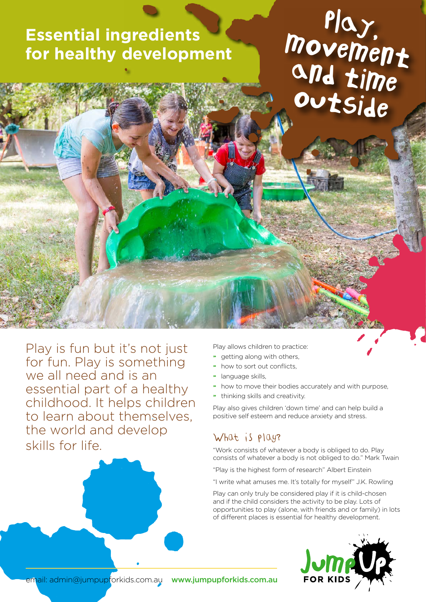## **Essential ingredients for healthy development**

# Play,<br>Movement and time outside

Play is fun but it's not just for fun. Play is something we all need and is an essential part of a healthy childhood. It helps children to learn about themselves, the world and develop skills for life.

Play allows children to practice:

- getting along with others,
- how to sort out conflicts,
- » language skills,
- » how to move their bodies accurately and with purpose,
- » thinking skills and creativity.

Play also gives children 'down time' and can help build a positive self esteem and reduce anxiety and stress.

### What is play?

"Work consists of whatever a body is obliged to do. Play consists of whatever a body is not obliged to do." Mark Twain

"Play is the highest form of research" Albert Einstein

"I write what amuses me. It's totally for myself" J.K. Rowling

Play can only truly be considered play if it is child-chosen and if the child considers the activity to be play. Lots of opportunities to play (alone, with friends and or family) in lots of different places is essential for healthy development.



email: admin@jumpupforkids.com.au www.jumpupforkids.com.au